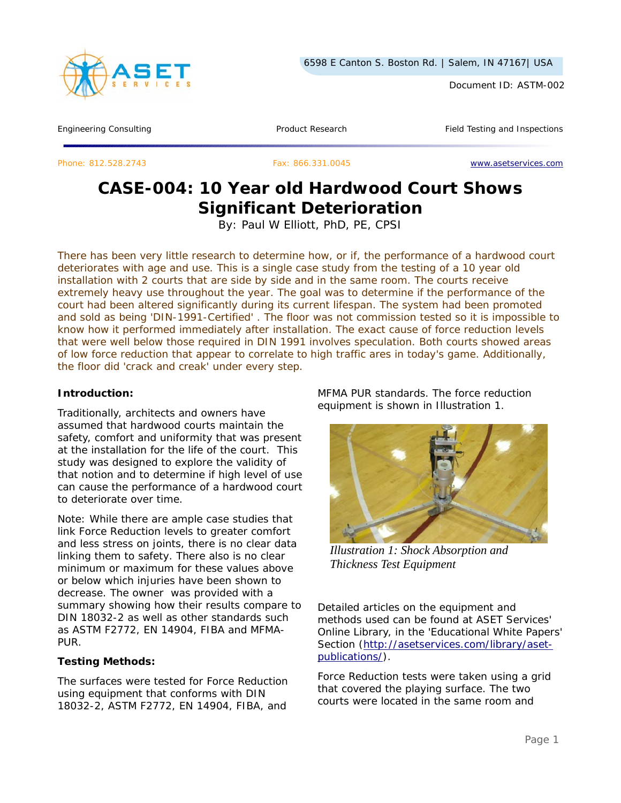

Document ID: ASTM-002

Engineering Consulting Testing Article 2012 Testing Product Research Testing Testing and Inspections

Phone: 812.528.2743 Fax: 866.331.0045 www.asetservices.com

# **CASE-004: 10 Year old Hardwood Court Shows Significant Deterioration**

By: Paul W Elliott, PhD, PE, CPSI

*There has been very little research to determine how, or if, the performance of a hardwood court deteriorates with age and use. This is a single case study from the testing of a 10 year old installation with 2 courts that are side by side and in the same room. The courts receive*  extremely heavy use throughout the year. The goal was to determine if the performance of the *court had been altered significantly during its current lifespan. The system had been promoted and sold as being 'DIN-1991-Certified' . The floor was not commission tested so it is impossible to know how it performed immediately after installation. The exact cause of force reduction levels that were well below those required in DIN 1991 involves speculation. Both courts showed areas of low force reduction that appear to correlate to high traffic ares in today's game. Additionally, the floor did 'crack and creak' under every step.* 

#### **Introduction:**

Traditionally, architects and owners have assumed that hardwood courts maintain the safety, comfort and uniformity that was present at the installation for the life of the court. This study was designed to explore the validity of that notion and to determine if high level of use can cause the performance of a hardwood court to deteriorate over time.

*Note: While there are ample case studies that link Force Reduction levels to greater comfort and less stress on joints, there is no clear data linking them to safety. There also is no clear minimum or maximum for these values above or below which injuries have been shown to decrease. The owner was provided with a summary showing how their results compare to DIN 18032-2 as well as other standards such as ASTM F2772, EN 14904, FIBA and MFMA-PUR.* 

## **Testing Methods:**

The surfaces were tested for Force Reduction using equipment that conforms with DIN 18032-2, ASTM F2772, EN 14904, FIBA, and

MFMA PUR standards. The force reduction equipment is shown in Illustration 1.



*Illustration 1: Shock Absorption and Thickness Test Equipment*

Detailed articles on the equipment and methods used can be found at ASET Services' Online Library, in the 'Educational White Papers' Section (http://asetservices.com/library/asetpublications/).

Force Reduction tests were taken using a grid that covered the playing surface. The two courts were located in the same room and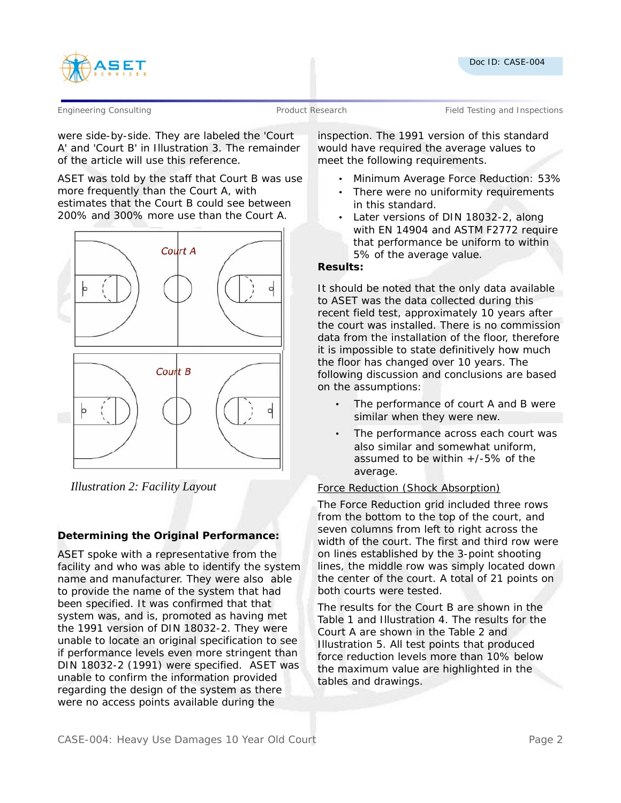



Engineering Consulting Testing and Product Research Field Testing and Inspections

were side-by-side. They are labeled the 'Court A' and 'Court B' in Illustration 3. The remainder of the article will use this reference.

ASET was told by the staff that Court B was use more frequently than the Court A, with estimates that the Court B could see between 200% and 300% more use than the Court A.



*Illustration 2: Facility Layout*

# **Determining the Original Performance:**

ASET spoke with a representative from the facility and who was able to identify the system name and manufacturer. They were also able to provide the name of the system that had been specified. It was confirmed that that system was, and is, promoted as having met the 1991 version of DIN 18032-2. They were unable to locate an original specification to see if performance levels even more stringent than DIN 18032-2 (1991) were specified. ASET was unable to confirm the information provided regarding the design of the system as there were no access points available during the

inspection. The 1991 version of this standard would have required the average values to meet the following requirements.

- Minimum Average Force Reduction: 53%
- There were no uniformity requirements in this standard.
- Later versions of DIN 18032-2, along with EN 14904 and ASTM F2772 require that performance be uniform to within 5% of the average value.

#### **Results:**

It should be noted that the only data available to ASET was the data collected during this recent field test, approximately 10 years after the court was installed. There is no commission data from the installation of the floor, therefore it is impossible to state definitively how much the floor has changed over 10 years. The following discussion and conclusions are based on the assumptions:

- The performance of court A and B were similar when they were new.
- The performance across each court was also similar and somewhat uniform, assumed to be within  $+/-5\%$  of the average.

# Force Reduction (Shock Absorption)

The Force Reduction grid included three rows from the bottom to the top of the court, and seven columns from left to right across the width of the court. The first and third row were on lines established by the 3-point shooting lines, the middle row was simply located down the center of the court. A total of 21 points on both courts were tested.

The results for the Court B are shown in the Table 1 and Illustration 4. The results for the Court A are shown in the Table 2 and Illustration 5. All test points that produced force reduction levels more than 10% below the maximum value are highlighted in the tables and drawings.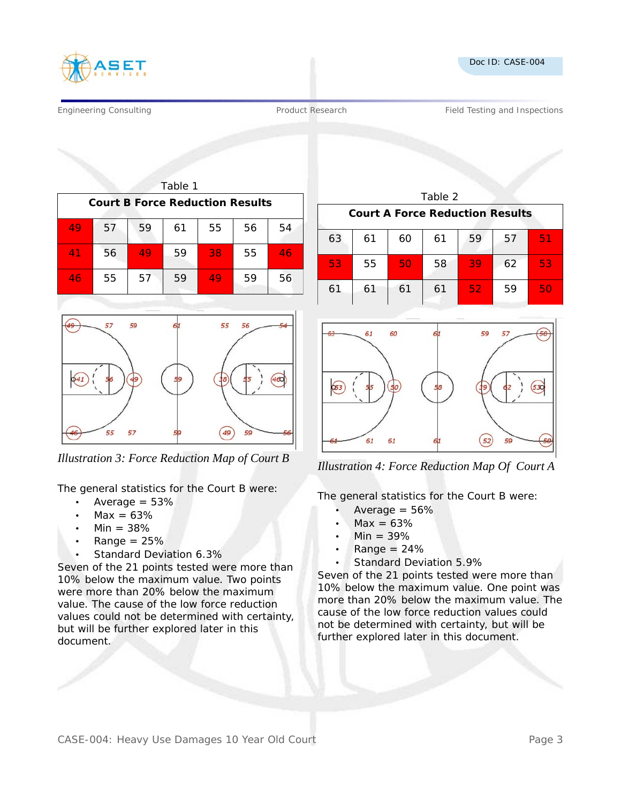



Engineering Consulting Testing According Product Research Testing and Inspections Product Research Testing and Inspections

| Table 1                                |    |    |    |    |    |    |  |  |  |
|----------------------------------------|----|----|----|----|----|----|--|--|--|
| <b>Court B Force Reduction Results</b> |    |    |    |    |    |    |  |  |  |
| 49                                     | 57 | 59 | 61 | 55 | 56 | 54 |  |  |  |
| 41                                     | 56 | 49 | 59 | 38 | 55 | 46 |  |  |  |
| 46                                     | 55 | 57 | 59 | 49 | 59 | 56 |  |  |  |



The general statistics for the Court B were:

- Average  $= 53%$
- $Max = 63%$
- $Min = 38%$
- $Range = 25%$
- Standard Deviation 6.3%

Seven of the 21 points tested were more than 10% below the maximum value. Two points were more than 20% below the maximum value. The cause of the low force reduction values could not be determined with certainty, but will be further explored later in this document.

| Table 2                                |    |    |    |    |    |    |  |  |  |
|----------------------------------------|----|----|----|----|----|----|--|--|--|
| <b>Court A Force Reduction Results</b> |    |    |    |    |    |    |  |  |  |
| 63                                     | 61 | 60 | 61 | 59 | 57 | 51 |  |  |  |
| 53                                     | 55 | 50 | 58 | 39 | 62 | 53 |  |  |  |
| 61                                     | 61 | 61 | 61 | 52 | 59 | 50 |  |  |  |



*Illustration 3: Force Reduction Map of Court B Illustration 4: Force Reduction Map Of Court A*

The general statistics for the Court B were:

- Average  $= 56\%$
- $Max = 63%$
- $Min = 39%$
- $Range = 24%$
- Standard Deviation 5.9%

Seven of the 21 points tested were more than 10% below the maximum value. One point was more than 20% below the maximum value. The cause of the low force reduction values could not be determined with certainty, but will be further explored later in this document.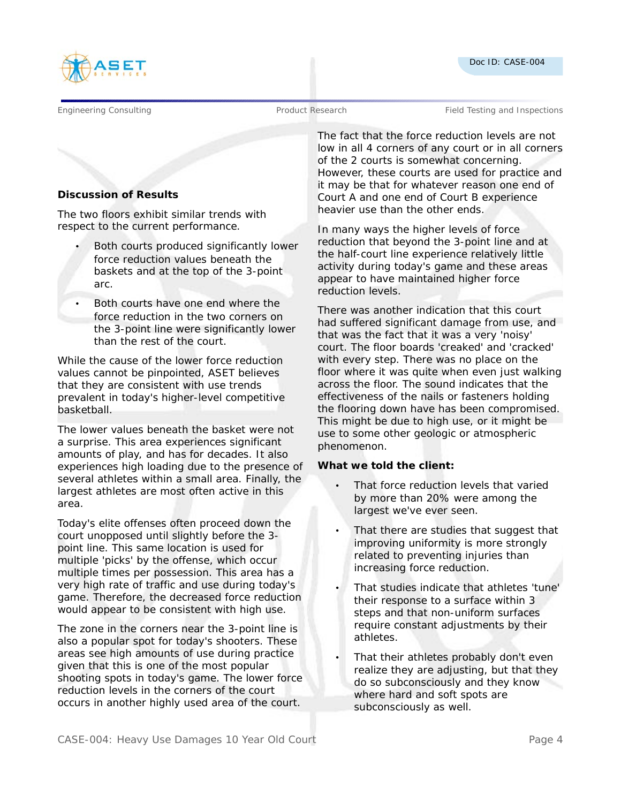



Engineering Consulting Testing and Product Research Field Testing and Inspections

# **Discussion of Results**

The two floors exhibit similar trends with respect to the current performance.

- Both courts produced significantly lower force reduction values beneath the baskets and at the top of the 3-point arc.
- Both courts have one end where the force reduction in the two corners on the 3-point line were significantly lower than the rest of the court.

While the cause of the lower force reduction values cannot be pinpointed, ASET believes that they are consistent with use trends prevalent in today's higher-level competitive basketball.

The lower values beneath the basket were not a surprise. This area experiences significant amounts of play, and has for decades. It also experiences high loading due to the presence of several athletes within a small area. Finally, the largest athletes are most often active in this area.

Today's elite offenses often proceed down the court unopposed until slightly before the 3 point line. This same location is used for multiple 'picks' by the offense, which occur multiple times per possession. This area has a very high rate of traffic and use during today's game. Therefore, the decreased force reduction would appear to be consistent with high use.

The zone in the corners near the 3-point line is also a popular spot for today's shooters. These areas see high amounts of use during practice given that this is one of the most popular shooting spots in today's game. The lower force reduction levels in the corners of the court occurs in another highly used area of the court. The fact that the force reduction levels are not low in all 4 corners of any court or in all corners of the 2 courts is somewhat concerning. However, these courts are used for practice and it may be that for whatever reason one end of Court A and one end of Court B experience heavier use than the other ends.

In many ways the higher levels of force reduction that beyond the 3-point line and at the half-court line experience relatively little activity during today's game and these areas appear to have maintained higher force reduction levels.

There was another indication that this court had suffered significant damage from use, and that was the fact that it was a very 'noisy' court. The floor boards 'creaked' and 'cracked' with every step. There was no place on the floor where it was quite when even just walking across the floor. The sound indicates that the effectiveness of the nails or fasteners holding the flooring down have has been compromised. This might be due to high use, or it might be use to some other geologic or atmospheric phenomenon.

## **What we told the client:**

- That force reduction levels that varied by more than 20% were among the largest we've ever seen.
- That there are studies that suggest that improving uniformity is more strongly related to preventing injuries than increasing force reduction.
- That studies indicate that athletes 'tune' their response to a surface within 3 steps and that non-uniform surfaces require constant adjustments by their athletes.
- That their athletes probably don't even realize they are adjusting, but that they do so subconsciously and they know where hard and soft spots are subconsciously as well.